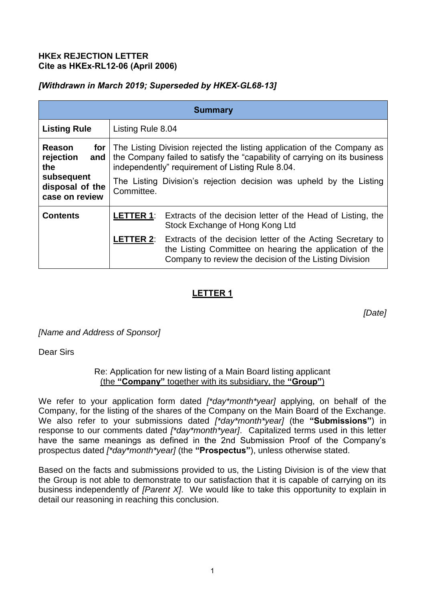### **HKEx REJECTION LETTER Cite as HKEx-RL12-06 (April 2006)**

# *[Withdrawn in March 2019; Superseded by HKEX-GL68-13]*

| <b>Summary</b>                                                                       |                                                                                                                                                                                                                                                                                                          |                                                                                                                                                                                                  |
|--------------------------------------------------------------------------------------|----------------------------------------------------------------------------------------------------------------------------------------------------------------------------------------------------------------------------------------------------------------------------------------------------------|--------------------------------------------------------------------------------------------------------------------------------------------------------------------------------------------------|
| <b>Listing Rule</b>                                                                  | Listing Rule 8.04                                                                                                                                                                                                                                                                                        |                                                                                                                                                                                                  |
| Reason<br>rejection<br>and<br>the<br>subsequent<br>disposal of the<br>case on review | <b>for</b> The Listing Division rejected the listing application of the Company as<br>the Company failed to satisfy the "capability of carrying on its business<br>independently" requirement of Listing Rule 8.04.<br>The Listing Division's rejection decision was upheld by the Listing<br>Committee. |                                                                                                                                                                                                  |
|                                                                                      |                                                                                                                                                                                                                                                                                                          |                                                                                                                                                                                                  |
| <b>Contents</b>                                                                      |                                                                                                                                                                                                                                                                                                          | <b>LETTER 1:</b> Extracts of the decision letter of the Head of Listing, the<br>Stock Exchange of Hong Kong Ltd                                                                                  |
|                                                                                      |                                                                                                                                                                                                                                                                                                          | <b>LETTER 2:</b> Extracts of the decision letter of the Acting Secretary to<br>the Listing Committee on hearing the application of the<br>Company to review the decision of the Listing Division |

# **LETTER 1**

*[Date]*

*[Name and Address of Sponsor]* 

Dear Sirs

Re: Application for new listing of a Main Board listing applicant (the **"Company"** together with its subsidiary, the **"Group"**)

We refer to your application form dated *[\*day\*month\*year]* applying, on behalf of the Company, for the listing of the shares of the Company on the Main Board of the Exchange. We also refer to your submissions dated *[\*day\*month\*year]* (the **"Submissions"**) in response to our comments dated *[\*day\*month\*year]*. Capitalized terms used in this letter have the same meanings as defined in the 2nd Submission Proof of the Company's prospectus dated *[\*day\*month\*year]* (the **"Prospectus"**), unless otherwise stated.

Based on the facts and submissions provided to us, the Listing Division is of the view that the Group is not able to demonstrate to our satisfaction that it is capable of carrying on its business independently of *[Parent X]*. We would like to take this opportunity to explain in detail our reasoning in reaching this conclusion.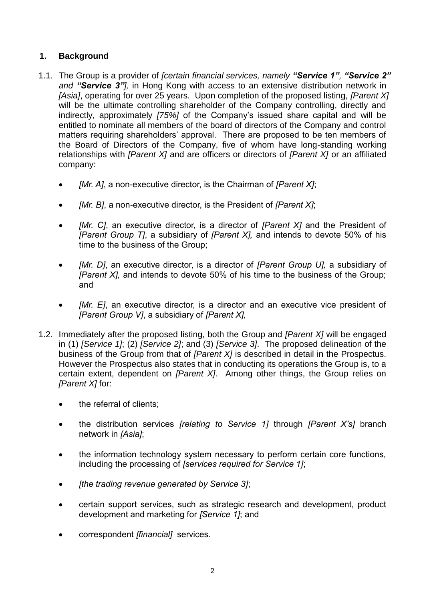# **1. Background**

- 1.1. The Group is a provider of *[certain financial services, namely "Service 1", "Service 2" and "Service 3"],* in Hong Kong with access to an extensive distribution network in *[Asia]*, operating for over 25 years. Upon completion of the proposed listing, *[Parent X]* will be the ultimate controlling shareholder of the Company controlling, directly and indirectly, approximately *[75%]* of the Company's issued share capital and will be entitled to nominate all members of the board of directors of the Company and control matters requiring shareholders' approval. There are proposed to be ten members of the Board of Directors of the Company, five of whom have long-standing working relationships with *[Parent X]* and are officers or directors of *[Parent X]* or an affiliated company:
	- *[Mr. A]*, a non-executive director, is the Chairman of *[Parent X]*;
	- *[Mr. B]*, a non-executive director, is the President of *[Parent X]*;
	- *[Mr. C]*, an executive director, is a director of *[Parent X]* and the President of *[Parent Group T]*, a subsidiary of *[Parent X],* and intends to devote 50% of his time to the business of the Group;
	- *[Mr. D]*, an executive director, is a director of *[Parent Group U],* a subsidiary of *[Parent X],* and intends to devote 50% of his time to the business of the Group; and
	- *[Mr. E]*, an executive director, is a director and an executive vice president of *[Parent Group V]*, a subsidiary of *[Parent X],*
- 1.2. Immediately after the proposed listing, both the Group and *[Parent X]* will be engaged in (1) *[Service 1]*; (2) *[Service 2]*; and (3) *[Service 3]*. The proposed delineation of the business of the Group from that of *[Parent X]* is described in detail in the Prospectus. However the Prospectus also states that in conducting its operations the Group is, to a certain extent, dependent on *[Parent X]*. Among other things, the Group relies on *[Parent X]* for:
	- the referral of clients:
	- the distribution services *[relating to Service 1]* through *[Parent X's]* branch network in *[Asia]*;
	- the information technology system necessary to perform certain core functions, including the processing of *[services required for Service 1]*;
	- *[the trading revenue generated by Service 3]*;
	- certain support services, such as strategic research and development, product development and marketing for *[Service 1]*; and
	- correspondent *[financial]* services.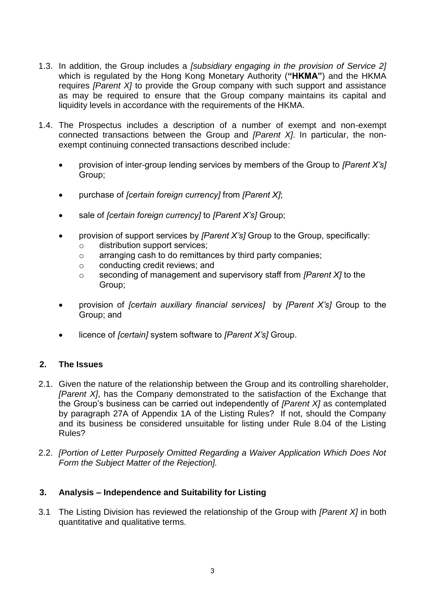- 1.3. In addition, the Group includes a *[subsidiary engaging in the provision of Service 2]* which is regulated by the Hong Kong Monetary Authority (**"HKMA"**) and the HKMA requires *[Parent X]* to provide the Group company with such support and assistance as may be required to ensure that the Group company maintains its capital and liquidity levels in accordance with the requirements of the HKMA.
- 1.4. The Prospectus includes a description of a number of exempt and non-exempt connected transactions between the Group and *[Parent X]*. In particular, the nonexempt continuing connected transactions described include:
	- provision of inter-group lending services by members of the Group to *[Parent X's]* Group;
	- purchase of *[certain foreign currency]* from *[Parent X]*;
	- sale of *[certain foreign currency]* to *[Parent X's]* Group;
	- provision of support services by *[Parent X's]* Group to the Group, specifically:
		- o distribution support services;
		- o arranging cash to do remittances by third party companies;
		- o conducting credit reviews; and
		- o seconding of management and supervisory staff from *[Parent X]* to the Group;
	- provision of *[certain auxiliary financial services]* by *[Parent X's]* Group to the Group; and
	- licence of *[certain]* system software to *[Parent X's]* Group.

### **2. The Issues**

- 2.1. Given the nature of the relationship between the Group and its controlling shareholder, *[Parent X]*, has the Company demonstrated to the satisfaction of the Exchange that the Group's business can be carried out independently of *[Parent X]* as contemplated by paragraph 27A of Appendix 1A of the Listing Rules? If not, should the Company and its business be considered unsuitable for listing under Rule 8.04 of the Listing Rules?
- 2.2. *[Portion of Letter Purposely Omitted Regarding a Waiver Application Which Does Not Form the Subject Matter of the Rejection].*

### **3. Analysis – Independence and Suitability for Listing**

3.1 The Listing Division has reviewed the relationship of the Group with *[Parent X]* in both quantitative and qualitative terms.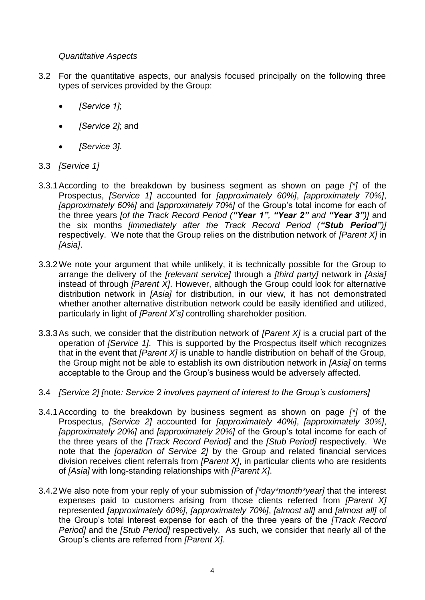# *Quantitative Aspects*

- 3.2 For the quantitative aspects, our analysis focused principally on the following three types of services provided by the Group:
	- *[Service 1]*;
	- *[Service 2]*; and
	- *[Service 3]*.
- 3.3 *[Service 1]*
- 3.3.1According to the breakdown by business segment as shown on page *[\*]* of the Prospectus, *[Service 1]* accounted for *[approximately 60%]*, *[approximately 70%]*, *[approximately 60%]* and *[approximately 70%]* of the Group's total income for each of the three years *[of the Track Record Period ("Year 1", "Year 2" and "Year 3")]* and the six months *[immediately after the Track Record Period ("Stub Period")]* respectively. We note that the Group relies on the distribution network of *[Parent X]* in *[Asia]*.
- 3.3.2We note your argument that while unlikely, it is technically possible for the Group to arrange the delivery of the *[relevant service]* through a *[third party]* network in *[Asia]* instead of through *[Parent X]*. However, although the Group could look for alternative distribution network in *[Asia]* for distribution, in our view, it has not demonstrated whether another alternative distribution network could be easily identified and utilized, particularly in light of *[Parent X's]* controlling shareholder position.
- 3.3.3As such, we consider that the distribution network of *[Parent X]* is a crucial part of the operation of *[Service 1]*. This is supported by the Prospectus itself which recognizes that in the event that *[Parent X]* is unable to handle distribution on behalf of the Group, the Group might not be able to establish its own distribution network in *[Asia]* on terms acceptable to the Group and the Group's business would be adversely affected.
- 3.4 *[Service 2] [*note*: Service 2 involves payment of interest to the Group's customers]*
- 3.4.1According to the breakdown by business segment as shown on page *[\*]* of the Prospectus, *[Service 2]* accounted for *[approximately 40%]*, *[approximately 30%]*, *[approximately 20%]* and *[approximately 20%]* of the Group's total income for each of the three years of the *[Track Record Period]* and the *[Stub Period]* respectively. We note that the *[operation of Service 2]* by the Group and related financial services division receives client referrals from *[Parent X]*, in particular clients who are residents of *[Asia]* with long-standing relationships with *[Parent X]*.
- 3.4.2We also note from your reply of your submission of *[\*day\*month\*year]* that the interest expenses paid to customers arising from those clients referred from *[Parent X]* represented *[approximately 60%]*, *[approximately 70%]*, *[almost all]* and *[almost all]* of the Group's total interest expense for each of the three years of the *[Track Record Period]* and the *[Stub Period]* respectively. As such, we consider that nearly all of the Group's clients are referred from *[Parent X]*.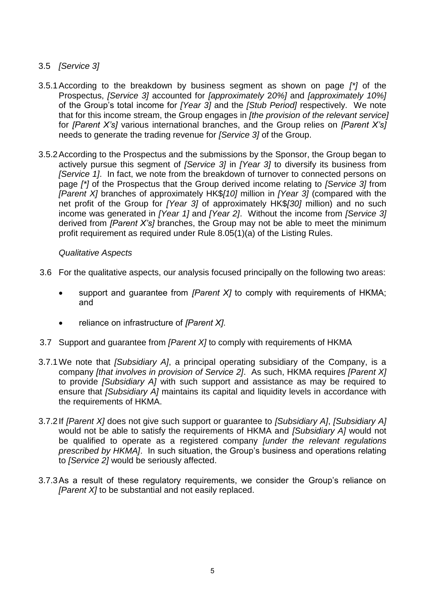# 3.5 *[Service 3]*

- 3.5.1According to the breakdown by business segment as shown on page *[\*]* of the Prospectus, *[Service 3]* accounted for *[approximately* 2*0%]* and *[approximately 10%]* of the Group's total income for *[Year 3]* and the *[Stub Period]* respectively. We note that for this income stream, the Group engages in *[the provision of the relevant service]* for *[Parent X's]* various international branches, and the Group relies on *[Parent X's]* needs to generate the trading revenue for *[Service 3]* of the Group.
- 3.5.2According to the Prospectus and the submissions by the Sponsor, the Group began to actively pursue this segment of *[Service 3]* in *[Year 3]* to diversify its business from *[Service 1]*. In fact, we note from the breakdown of turnover to connected persons on page *[\*]* of the Prospectus that the Group derived income relating to *[Service 3]* from *[Parent X]* branches of approximately HK\$*[10]* million in *[Year 3]* (compared with the net profit of the Group for *[Year 3]* of approximately HK\$*[30]* million) and no such income was generated in *[Year 1]* and *[Year 2]*. Without the income from *[Service 3]*  derived from *[Parent X's]* branches, the Group may not be able to meet the minimum profit requirement as required under Rule 8.05(1)(a) of the Listing Rules.

### *Qualitative Aspects*

- 3.6 For the qualitative aspects, our analysis focused principally on the following two areas:
	- support and guarantee from *[Parent X]* to comply with requirements of HKMA; and
	- reliance on infrastructure of *[Parent X]*.
- 3.7 Support and guarantee from *[Parent X]* to comply with requirements of HKMA
- 3.7.1We note that *[Subsidiary A]*, a principal operating subsidiary of the Company, is a company *[that involves in provision of Service 2]*. As such, HKMA requires *[Parent X]* to provide *[Subsidiary A]* with such support and assistance as may be required to ensure that *[Subsidiary A]* maintains its capital and liquidity levels in accordance with the requirements of HKMA.
- 3.7.2If *[Parent X]* does not give such support or guarantee to *[Subsidiary A]*, *[Subsidiary A]* would not be able to satisfy the requirements of HKMA and *[Subsidiary A]* would not be qualified to operate as a registered company *[under the relevant regulations prescribed by HKMA]*. In such situation, the Group's business and operations relating to *[Service 2]* would be seriously affected.
- 3.7.3As a result of these regulatory requirements, we consider the Group's reliance on *[Parent X]* to be substantial and not easily replaced.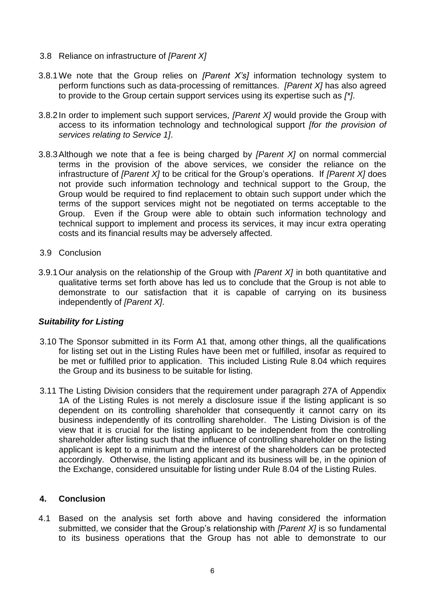- 3.8 Reliance on infrastructure of *[Parent X]*
- 3.8.1We note that the Group relies on *[Parent X's]* information technology system to perform functions such as data-processing of remittances. *[Parent X]* has also agreed to provide to the Group certain support services using its expertise such as *[\*]*.
- 3.8.2In order to implement such support services, *[Parent X]* would provide the Group with access to its information technology and technological support *[for the provision of services relating to Service 1]*.
- 3.8.3Although we note that a fee is being charged by *[Parent X]* on normal commercial terms in the provision of the above services, we consider the reliance on the infrastructure of *[Parent X]* to be critical for the Group's operations. If *[Parent X]* does not provide such information technology and technical support to the Group, the Group would be required to find replacement to obtain such support under which the terms of the support services might not be negotiated on terms acceptable to the Group. Even if the Group were able to obtain such information technology and technical support to implement and process its services, it may incur extra operating costs and its financial results may be adversely affected.
- 3.9 Conclusion
- 3.9.1Our analysis on the relationship of the Group with *[Parent X]* in both quantitative and qualitative terms set forth above has led us to conclude that the Group is not able to demonstrate to our satisfaction that it is capable of carrying on its business independently of *[Parent X]*.

# *Suitability for Listing*

- 3.10 The Sponsor submitted in its Form A1 that, among other things, all the qualifications for listing set out in the Listing Rules have been met or fulfilled, insofar as required to be met or fulfilled prior to application. This included Listing Rule 8.04 which requires the Group and its business to be suitable for listing.
- 3.11 The Listing Division considers that the requirement under paragraph 27A of Appendix 1A of the Listing Rules is not merely a disclosure issue if the listing applicant is so dependent on its controlling shareholder that consequently it cannot carry on its business independently of its controlling shareholder. The Listing Division is of the view that it is crucial for the listing applicant to be independent from the controlling shareholder after listing such that the influence of controlling shareholder on the listing applicant is kept to a minimum and the interest of the shareholders can be protected accordingly. Otherwise, the listing applicant and its business will be, in the opinion of the Exchange, considered unsuitable for listing under Rule 8.04 of the Listing Rules.

# **4. Conclusion**

4.1 Based on the analysis set forth above and having considered the information submitted, we consider that the Group's relationship with *[Parent X]* is so fundamental to its business operations that the Group has not able to demonstrate to our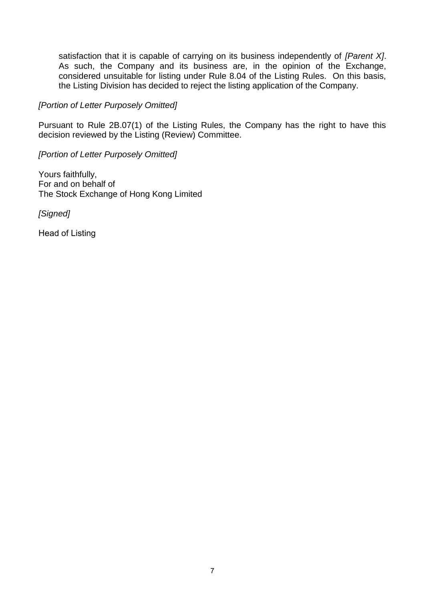satisfaction that it is capable of carrying on its business independently of *[Parent X]*. As such, the Company and its business are, in the opinion of the Exchange, considered unsuitable for listing under Rule 8.04 of the Listing Rules. On this basis, the Listing Division has decided to reject the listing application of the Company.

#### *[Portion of Letter Purposely Omitted]*

Pursuant to Rule 2B.07(1) of the Listing Rules, the Company has the right to have this decision reviewed by the Listing (Review) Committee.

*[Portion of Letter Purposely Omitted]* 

Yours faithfully, For and on behalf of The Stock Exchange of Hong Kong Limited

*[Signed]* 

Head of Listing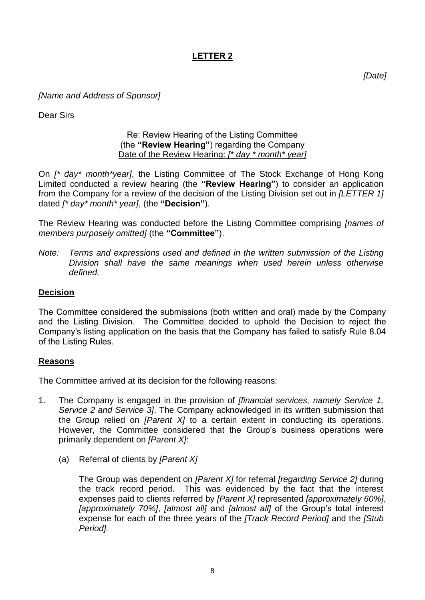# **LETTER 2**

*[Date]*

### *[Name and Address of Sponsor]*

Dear Sirs

### Re: Review Hearing of the Listing Committee (the **"Review Hearing"**) regarding the Company Date of the Review Hearing: *[\* day \* month\* year]*

On *[\* day\* month\*year]*, the Listing Committee of The Stock Exchange of Hong Kong Limited conducted a review hearing (the **"Review Hearing"**) to consider an application from the Company for a review of the decision of the Listing Division set out in *[LETTER 1]* dated *[\* day\* month\* year]*, (the **"Decision"**).

The Review Hearing was conducted before the Listing Committee comprising *[names of members purposely omitted]* (the **"Committee"**).

*Note: Terms and expressions used and defined in the written submission of the Listing Division shall have the same meanings when used herein unless otherwise defined.*

# **Decision**

The Committee considered the submissions (both written and oral) made by the Company and the Listing Division. The Committee decided to uphold the Decision to reject the Company's listing application on the basis that the Company has failed to satisfy Rule 8.04 of the Listing Rules.

### **Reasons**

The Committee arrived at its decision for the following reasons:

- 1. The Company is engaged in the provision of *[financial services, namely Service 1, Service 2 and Service 3]*. The Company acknowledged in its written submission that the Group relied on *[Parent X]* to a certain extent in conducting its operations. However, the Committee considered that the Group's business operations were primarily dependent on *[Parent X]*:
	- (a) Referral of clients by *[Parent X]*

The Group was dependent on *[Parent X]* for referral *[regarding Service 2]* during the track record period. This was evidenced by the fact that the interest expenses paid to clients referred by *[Parent X]* represented *[approximately 60%]*, *[approximately 70%]*, *[almost all]* and *[almost all]* of the Group's total interest expense for each of the three years of the *[Track Record Period]* and the *[Stub Period].*